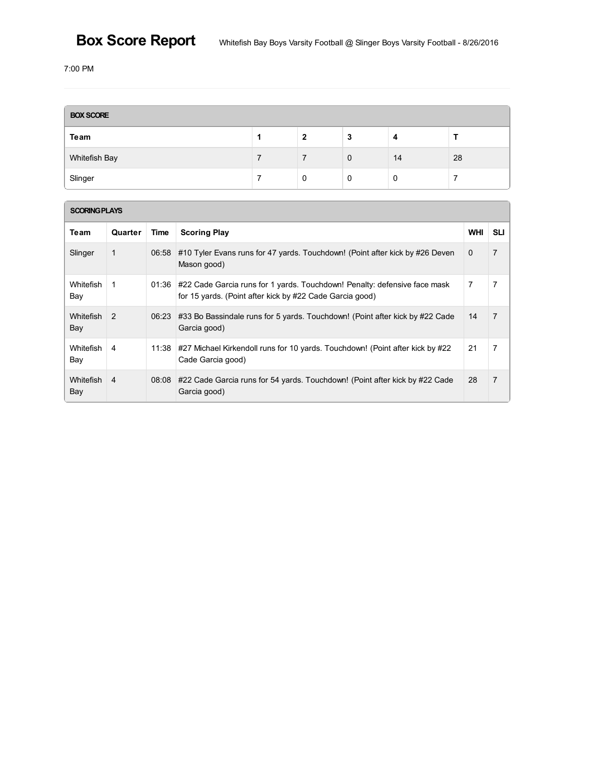# **Box Score Report**

7:00 PM

| <b>BOX SCORE</b> |  |   |             |    |    |  |  |
|------------------|--|---|-------------|----|----|--|--|
| Team             |  | 2 | 3           |    |    |  |  |
| Whitefish Bay    |  |   | $\mathbf 0$ | 14 | 28 |  |  |
| Slinger          |  | 0 | 0           | 0  |    |  |  |

| <b>SCORING PLAYS</b>    |               |       |                                                                                                                                       |            |                |  |  |  |
|-------------------------|---------------|-------|---------------------------------------------------------------------------------------------------------------------------------------|------------|----------------|--|--|--|
| Team                    | Quarter       | Time  | <b>Scoring Play</b>                                                                                                                   | <b>WHI</b> | <b>SLI</b>     |  |  |  |
| Slinger                 | 1             | 06:58 | #10 Tyler Evans runs for 47 yards. Touchdown! (Point after kick by #26 Deven<br>Mason good)                                           | $\Omega$   | $\overline{7}$ |  |  |  |
| <b>Whitefish</b><br>Bay | 1             | 01:36 | #22 Cade Garcia runs for 1 yards. Touchdown! Penalty: defensive face mask<br>for 15 yards. (Point after kick by #22 Cade Garcia good) | 7          | 7              |  |  |  |
| <b>Whitefish</b><br>Bay | $\mathcal{P}$ | 06:23 | #33 Bo Bassindale runs for 5 yards. Touchdown! (Point after kick by #22 Cade<br>Garcia good)                                          | 14         | $\overline{7}$ |  |  |  |
| <b>Whitefish</b><br>Bay | 4             | 11:38 | #27 Michael Kirkendoll runs for 10 yards. Touchdown! (Point after kick by #22<br>Cade Garcia good)                                    | 21         | $\overline{7}$ |  |  |  |
| <b>Whitefish</b><br>Bay | 4             | 08:08 | #22 Cade Garcia runs for 54 yards. Touchdown! (Point after kick by #22 Cade<br>Garcia good)                                           | 28         | $\overline{7}$ |  |  |  |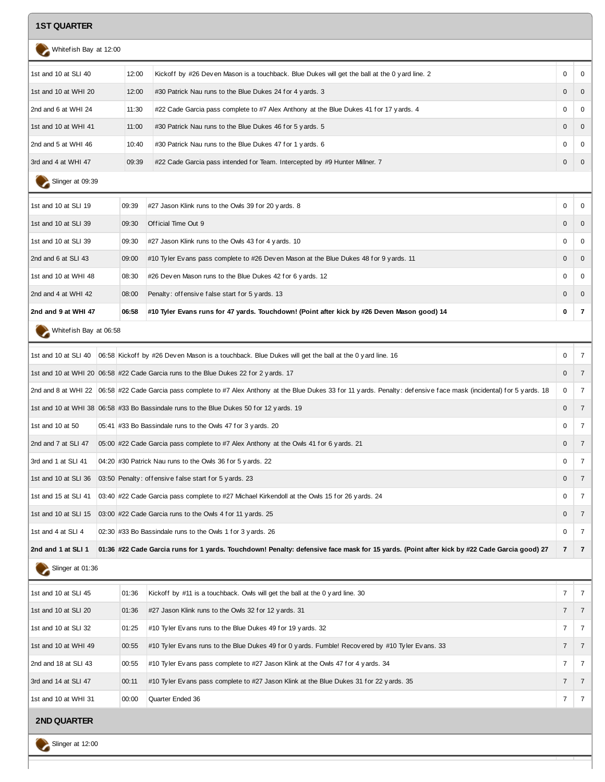## **1ST QUARTER**

| Whitef ish Bay at 12:00                                                                                                                                                                                                              |       |                                                                                                |              |                |
|--------------------------------------------------------------------------------------------------------------------------------------------------------------------------------------------------------------------------------------|-------|------------------------------------------------------------------------------------------------|--------------|----------------|
| 1st and 10 at SLI 40                                                                                                                                                                                                                 | 12:00 | Kickoff by #26 Deven Mason is a touchback. Blue Dukes will get the ball at the 0 y ard line. 2 | 0            | $\overline{0}$ |
| 1st and 10 at WHI 20                                                                                                                                                                                                                 | 12:00 | #30 Patrick Nau runs to the Blue Dukes 24 for 4 yards. 3                                       | $\mathbf{0}$ | - 0            |
| 2nd and 6 at WHI 24                                                                                                                                                                                                                  | 11:30 | #22 Cade Garcia pass complete to #7 Alex Anthony at the Blue Dukes 41 for 17 yards. 4          | $\mathbf 0$  | $\Omega$       |
| 1st and 10 at WHI 41                                                                                                                                                                                                                 | 11:00 | #30 Patrick Nau runs to the Blue Dukes 46 for 5 yards. 5                                       | $\Omega$     | $\Omega$       |
| 2nd and 5 at WHI 46                                                                                                                                                                                                                  | 10:40 | #30 Patrick Nau runs to the Blue Dukes 47 for 1 yards. 6                                       | $\mathbf 0$  | $\Omega$       |
| 3rd and 4 at WHI 47                                                                                                                                                                                                                  | 09:39 | #22 Cade Garcia pass intended for Team. Intercepted by #9 Hunter Millner. 7                    | $\mathbf{0}$ | $\overline{0}$ |
| <b>Contract Contract Contract Contract Contract Contract Contract Contract Contract Contract Contract Contract Contract Contract Contract Contract Contract Contract Contract Contract Contract Contract Contract Contract Contr</b> |       |                                                                                                |              |                |

| Slinger at 09:39 |  |
|------------------|--|
|                  |  |

| 2nd and 9 at WHI 47  | 06:58 | #10 Tyler Evans runs for 47 yards. Touchdown! (Point after kick by #26 Deven Mason good) 14 | 0        |          |
|----------------------|-------|---------------------------------------------------------------------------------------------|----------|----------|
| 2nd and 4 at WHI 42  | 08:00 | Penalty: offensive false start for 5 yards. 13                                              | $\Omega$ | $\Omega$ |
| 1st and 10 at WHI 48 | 08:30 | #26 Deven Mason runs to the Blue Dukes 42 for 6 y ards. 12                                  | $\Omega$ | $\Omega$ |
| 2nd and 6 at SLI 43  | 09:00 | #10 Tyler Evans pass complete to #26 Deven Mason at the Blue Dukes 48 for 9 yards. 11       | $\Omega$ | - 0      |
| 1st and 10 at SLI 39 | 09:30 | $\#27$ Jason Klink runs to the Owls 43 for 4 yards. 10                                      | $\Omega$ | $\Omega$ |
| 1st and 10 at SLI 39 | 09:30 | Official Time Out 9                                                                         |          | - 0      |
| 1st and 10 at SLI 19 | 09:39 | #27 Jason Klink runs to the Owls 39 for 20 yards. 8                                         | $\Omega$ | - 0      |
|                      |       |                                                                                             |          |          |

Whitef ish Bay at 06:58

|                     |                                                                                                                                                                           | $\mathbf 0$    | $\overline{7}$ |
|---------------------|---------------------------------------------------------------------------------------------------------------------------------------------------------------------------|----------------|----------------|
|                     | 17 1st and 10 at WHI 20 06:58 #22 Cade Garcia runs to the Blue Dukes 22 for 2 yards. 17                                                                                   | $\mathbf{0}$   |                |
|                     | 2nd and 8 at WHI 22   06:58 #22 Cade Garcia pass complete to #7 Alex Anthony at the Blue Dukes 33 for 11 yards. Penalty: defensive face mask (incidental) for 5 yards. 18 | 0              | $\overline{7}$ |
|                     | 1st and 10 at WHI 38 06:58 #33 Bo Bassindale runs to the Blue Dukes 50 for 12 yards. 19                                                                                   | $\Omega$       |                |
| 1st and 10 at 50    | 05:41 #33 Bo Bassindale runs to the Owls 47 for 3 yards. 20                                                                                                               | $\Omega$       | $7^{\circ}$    |
| 2nd and 7 at SLI 47 | 05:00 #22 Cade Garcia pass complete to #7 Alex Anthony at the Owls 41 for 6 y ards. 21                                                                                    | $\Omega$       | $\overline{7}$ |
| 3rd and 1 at SLI 41 | 04:20 #30 Patrick Nau runs to the Owls 36 for 5 y ards. 22                                                                                                                | $\Omega$       | $\overline{7}$ |
|                     | 1st and 10 at SLI 36 03:50 Penalty: offensive false start for 5 y ards. 23                                                                                                | $\Omega$       | 7              |
|                     | 1st and 15 at SLI 41   03:40 #22 Cade Garcia pass complete to #27 Michael Kirkendoll at the Owls 15 for 26 yards. 24                                                      | $\mathbf{0}$   | $\overline{7}$ |
|                     | 1st and 10 at SLI 15 03:00 #22 Cade Garcia runs to the Owls 4 for 11 yards. 25                                                                                            | $\mathbf{0}$   | $\overline{7}$ |
| 1st and 4 at SLI 4  | 02:30 #33 Bo Bassindale runs to the Owls 1 for 3 y ards. 26                                                                                                               | $\mathbf 0$    | $\overline{7}$ |
| 2nd and 1 at SLI 1  | 01:36 #22 Cade Garcia runs for 1 yards. Touchdown! Penalty: defensive face mask for 15 yards. (Point after kick by #22 Cade Garcia good) 27                               | $\overline{7}$ | $\overline{7}$ |

## Slinger at 01:36

| 1st and 10 at SLI 45 | 01:36 | Kickoff by #11 is a touchback. Owls will get the ball at the 0 y ard line. 30                   |                |                |
|----------------------|-------|-------------------------------------------------------------------------------------------------|----------------|----------------|
| 1st and 10 at SLI 20 | 01:36 | #27 Jason Klink runs to the Owls 32 for 12 yards. 31                                            |                | $\overline{7}$ |
| 1st and 10 at SLI 32 | 01:25 | #10 Tyler Evans runs to the Blue Dukes 49 for 19 yards. 32                                      |                | $\overline{7}$ |
| 1st and 10 at WHI 49 | 00:55 | #10 Tyler Evans runs to the Blue Dukes 49 for 0 yards. Fumble! Recovered by #10 Tyler Evans. 33 |                | $\overline{7}$ |
| 2nd and 18 at SLI 43 | 00:55 | $\#10$ Tyler Evans pass complete to $\#27$ Jason Klink at the Owls 47 for 4 yards. 34           |                | $\frac{1}{2}$  |
| 3rd and 14 at SLI 47 | 00:11 | #10 Tyler Evans pass complete to #27 Jason Klink at the Blue Dukes 31 for 22 yards. 35          |                | $\overline{7}$ |
| 1st and 10 at WHI 31 | 00:00 | Ouarter Ended 36                                                                                | $\overline{ }$ |                |

### **2ND QUARTER**

Slinger at 12:00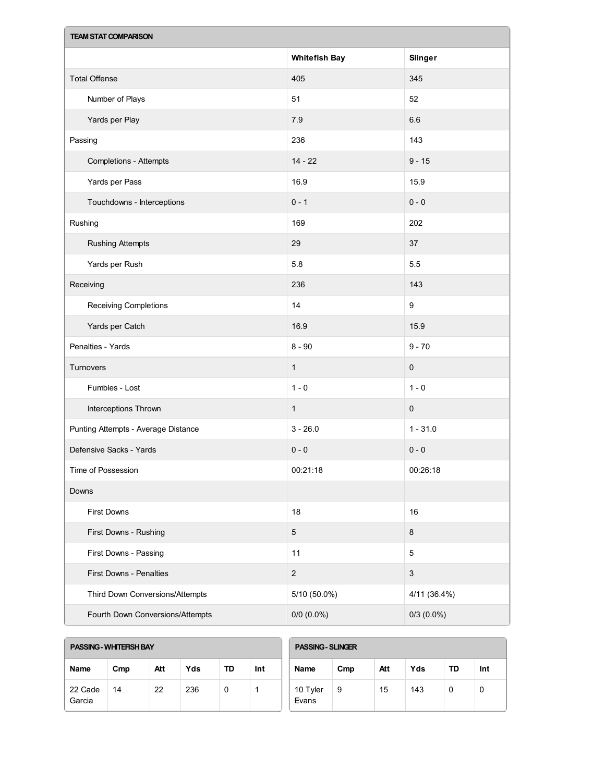| <b>TEAM STAT COMPARISON</b>         |                      |                           |  |  |  |  |  |
|-------------------------------------|----------------------|---------------------------|--|--|--|--|--|
|                                     | <b>Whitefish Bay</b> | Slinger                   |  |  |  |  |  |
| <b>Total Offense</b>                | 405                  | 345                       |  |  |  |  |  |
| Number of Plays                     | 51                   | 52                        |  |  |  |  |  |
| Yards per Play                      | $7.9\,$              | 6.6                       |  |  |  |  |  |
| Passing                             | 236                  | 143                       |  |  |  |  |  |
| <b>Completions - Attempts</b>       | $14 - 22$            | $9 - 15$                  |  |  |  |  |  |
| Yards per Pass                      | 16.9                 | 15.9                      |  |  |  |  |  |
| Touchdowns - Interceptions          | $0 - 1$              | $0 - 0$                   |  |  |  |  |  |
| Rushing                             | 169                  | 202                       |  |  |  |  |  |
| <b>Rushing Attempts</b>             | 29                   | 37                        |  |  |  |  |  |
| Yards per Rush                      | 5.8                  | 5.5                       |  |  |  |  |  |
| Receiving                           | 236                  | 143                       |  |  |  |  |  |
| Receiving Completions               | 14                   | $\boldsymbol{9}$          |  |  |  |  |  |
| Yards per Catch                     | 16.9                 | 15.9                      |  |  |  |  |  |
| Penalties - Yards                   | $8 - 90$             | $9 - 70$                  |  |  |  |  |  |
| Turnovers                           | $\mathbf{1}$         | 0                         |  |  |  |  |  |
| Fumbles - Lost                      | $1 - 0$              | $1 - 0$                   |  |  |  |  |  |
| Interceptions Thrown                | $\mathbf{1}$         | $\mathbf 0$               |  |  |  |  |  |
| Punting Attempts - Average Distance | $3 - 26.0$           | $1 - 31.0$                |  |  |  |  |  |
| Defensive Sacks - Yards             | $0 - 0$              | $0 - 0$                   |  |  |  |  |  |
| Time of Possession                  | 00:21:18             | 00:26:18                  |  |  |  |  |  |
| Downs                               |                      |                           |  |  |  |  |  |
| First Downs                         | 18                   | 16                        |  |  |  |  |  |
| First Downs - Rushing               | $\sqrt{5}$           | $\bf 8$                   |  |  |  |  |  |
| First Downs - Passing               | 11                   | 5                         |  |  |  |  |  |
| First Downs - Penalties             | $\sqrt{2}$           | $\ensuremath{\mathsf{3}}$ |  |  |  |  |  |
| Third Down Conversions/Attempts     | 5/10 (50.0%)         | 4/11 (36.4%)              |  |  |  |  |  |
| Fourth Down Conversions/Attempts    | $0/0$ $(0.0\%)$      | $0/3$ (0.0%)              |  |  |  |  |  |

| PASSING - WHITERSH BAY |     |     |     |    |     | <b>PASSING - SLINGER</b> |     |     |     |    |     |
|------------------------|-----|-----|-----|----|-----|--------------------------|-----|-----|-----|----|-----|
| <b>Name</b>            | Cmp | Att | Yds | TD | Int | Name                     | Cmp | Att | Yds | TD | Int |
| 22 Cade<br>Garcia      | 14  | 22  | 236 | 0  |     | 10 Tyler<br>Evans        | 9   | 15  | 143 | 0  | v   |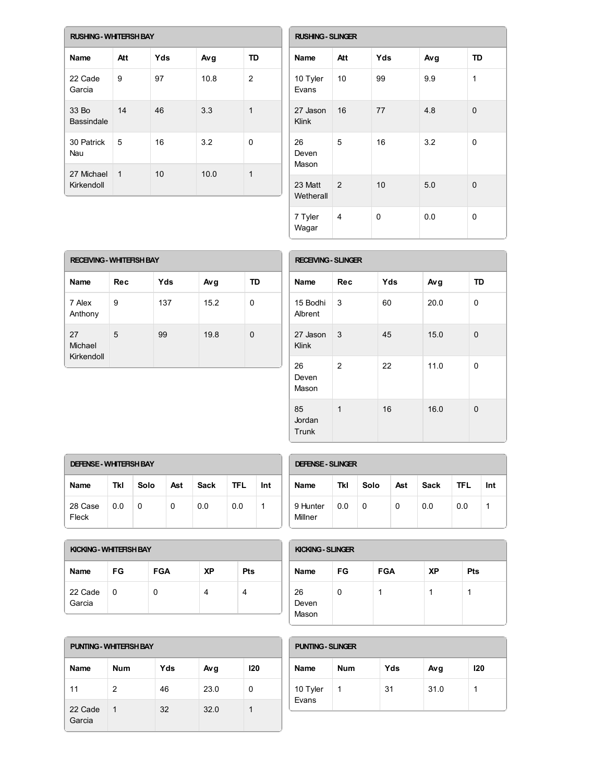| <b>RUSHING - WHITEFISH BAY</b> |             |     |      |                |  |  |  |
|--------------------------------|-------------|-----|------|----------------|--|--|--|
| Name                           | Att         | Yds | Avg  | <b>TD</b>      |  |  |  |
| 22 Cade<br>Garcia              | 9           | 97  | 10.8 | $\overline{2}$ |  |  |  |
| 33 Bo<br>Bassindale            | 14          | 46  | 3.3  | 1              |  |  |  |
| 30 Patrick<br>Nau              | 5           | 16  | 3.2  | 0              |  |  |  |
| 27 Michael<br>Kirkendoll       | $\mathbf 1$ | 10  | 10.0 | 1              |  |  |  |

|                      | <b>RUSHING - SLINGER</b> |     |     |              |  |  |  |
|----------------------|--------------------------|-----|-----|--------------|--|--|--|
| <b>Name</b>          | Att                      | Yds | Avg | <b>TD</b>    |  |  |  |
| 10 Tyler<br>Evans    | 10                       | 99  | 9.9 | 1            |  |  |  |
| 27 Jason<br>Klink    | 16                       | 77  | 4.8 | $\mathbf{0}$ |  |  |  |
| 26<br>Deven<br>Mason | 5                        | 16  | 3.2 | 0            |  |  |  |
| 23 Matt<br>Wetherall | 2                        | 10  | 5.0 | 0            |  |  |  |
| 7 Tyler<br>Wagar     | 4                        | 0   | 0.0 | 0            |  |  |  |

| <b>RECEIVING - WHITERSH BAY</b> |            |     |      |    |  |  |  |
|---------------------------------|------------|-----|------|----|--|--|--|
| Name                            | <b>Rec</b> | Yds | Avg  | TD |  |  |  |
| 7 Alex<br>Anthony               | 9          | 137 | 15.2 | 0  |  |  |  |
| 27<br>Michael<br>Kirkendoll     | 5          | 99  | 19.8 | 0  |  |  |  |

| <b>RECEIVING - SLINGER</b> |                |     |      |          |  |
|----------------------------|----------------|-----|------|----------|--|
| Name                       | <b>Rec</b>     | Yds | Avg  | TD       |  |
| 15 Bodhi<br>Albrent        | 3              | 60  | 20.0 | 0        |  |
| 27 Jason<br>Klink          | 3              | 45  | 15.0 | 0        |  |
| 26<br>Deven<br>Mason       | 2              | 22  | 11.0 | 0        |  |
| 85<br>Jordan<br>Trunk      | $\overline{1}$ | 16  | 16.0 | $\Omega$ |  |

| <b>DEFENSE - WHITERSH BAY</b> |     |      |     |      |      |     |
|-------------------------------|-----|------|-----|------|------|-----|
| <b>Name</b>                   | Tkl | Solo | Ast | Sack | TFL. | Int |
| 28 Case<br>Fleck              | 0.0 | 0    | 0   | 0.0  | 0.0  |     |

| <b>DEFENSE - SLINGER</b> |     |      |     |      |            |     |
|--------------------------|-----|------|-----|------|------------|-----|
| <b>Name</b>              | Tkl | Solo | Ast | Sack | <b>TFL</b> | Int |
| 9 Hunter<br>Millner      | 0.0 | 0    | 0   | 0.0  | 0.0        |     |

| KICKING - WHITERSH BAY |     |            |           |            |  |
|------------------------|-----|------------|-----------|------------|--|
| Name                   | FG. | <b>FGA</b> | <b>XP</b> | <b>Pts</b> |  |
| 22 Cade<br>Garcia      | 0   | 0          |           | 4          |  |

| <b>KICKING - SLINGER</b> |    |            |           |     |  |
|--------------------------|----|------------|-----------|-----|--|
| <b>Name</b>              | FG | <b>FGA</b> | <b>XP</b> | Pts |  |
| 26<br>Deven<br>Mason     | 0  |            |           |     |  |

| <b>PUNTING - WHITERSH BAY</b> |                |     |      | <b>PUNTING - SLINGER</b> |                   |            |
|-------------------------------|----------------|-----|------|--------------------------|-------------------|------------|
| <b>Name</b>                   | <b>Num</b>     | Yds | Avg  | 120                      | Name              | <b>Num</b> |
| 11                            | $\overline{2}$ | 46  | 23.0 | 0                        | 10 Tyler<br>Evans |            |
| 22 Cade<br>Garcia             | 1              | 32  | 32.0 |                          |                   |            |

| <b>PUNTING - SLINGER</b> |     |     |      |     |  |
|--------------------------|-----|-----|------|-----|--|
| <b>Name</b>              | Num | Yds | Avg  | 120 |  |
| 10 Tyler<br>Evans        | 1   | 31  | 31.0 |     |  |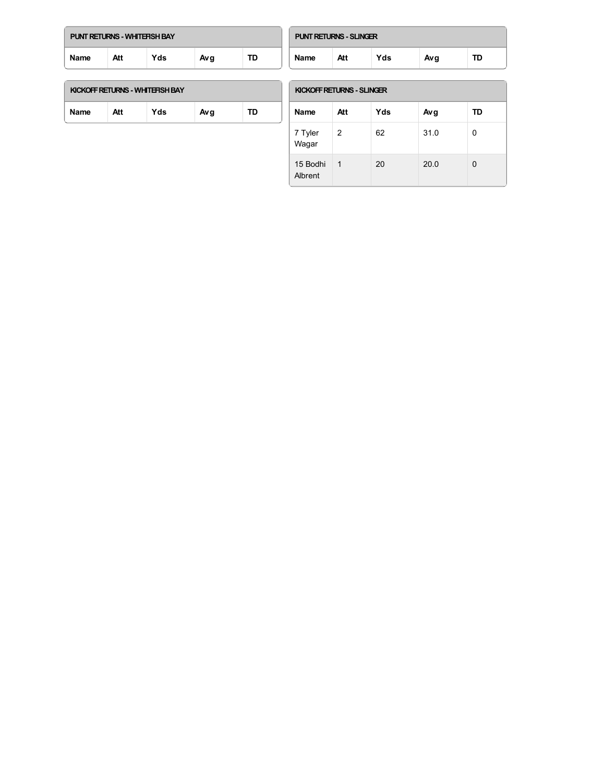| PUNT RETURNS - WHITERSH BAY |     |     |     |    |  |
|-----------------------------|-----|-----|-----|----|--|
| <b>Name</b>                 | Att | Yds | Avg | TD |  |

| <b>PUNT RETURNS - SLINGER</b> |     |     |     |    |  |
|-------------------------------|-----|-----|-----|----|--|
| <b>Name</b>                   | Att | Yds | Avg | TD |  |

| KICKOFF RETURNS - WHITEFISH BAY |  |
|---------------------------------|--|
|                                 |  |

| <b>Name</b> | Att | ΄ds | Avg |  |
|-------------|-----|-----|-----|--|
|             |     |     |     |  |

#### **KICKOFFRETURNS- SLINGER**

| <b>Name</b>           | Att | Yds | Avg  | TD |
|-----------------------|-----|-----|------|----|
| 7 Tyler<br>.<br>Wagar | 2   | 62  | 31.0 | 0  |
| 15 Bodhi<br>Albrent   | 1   | 20  | 20.0 | 0  |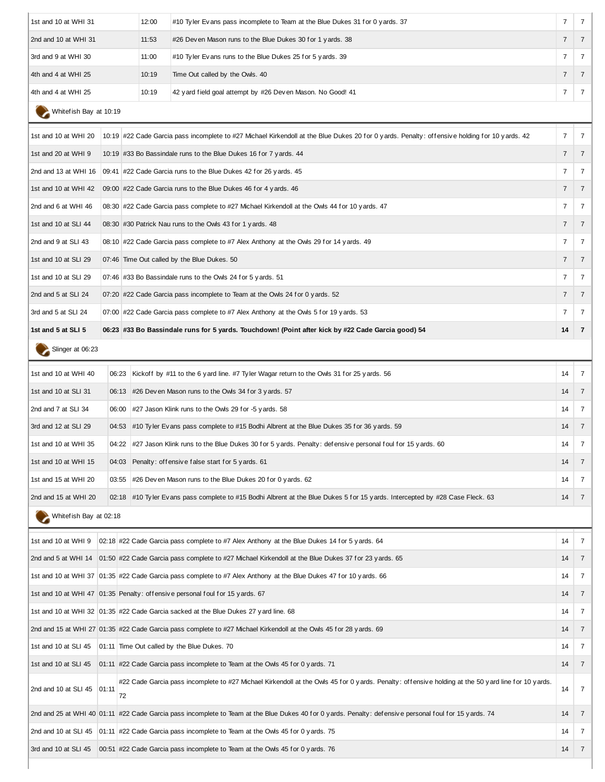| 1st and 10 at WHI 31       |       | 12:00 | #10 Tyler Evans pass incomplete to Team at the Blue Dukes 31 for 0 yards. 37                                                                           | $\overline{7}$ | $\overline{7}$ |
|----------------------------|-------|-------|--------------------------------------------------------------------------------------------------------------------------------------------------------|----------------|----------------|
| 2nd and 10 at WHI 31       |       | 11:53 | #26 Deven Mason runs to the Blue Dukes 30 for 1 yards. 38                                                                                              | $\overline{7}$ | $\overline{7}$ |
| 3rd and 9 at WHI 30        |       | 11:00 | #10 Tyler Evans runs to the Blue Dukes 25 for 5 yards. 39                                                                                              | $\overline{7}$ | 7              |
| 4th and 4 at WHI 25        |       |       | Time Out called by the Owls. 40                                                                                                                        | $\overline{7}$ | $\overline{7}$ |
| 4th and 4 at WHI 25        |       | 10:19 | 42 yard field goal attempt by #26 Deven Mason. No Good! 41                                                                                             | $\overline{7}$ | $\overline{7}$ |
| Whitef ish Bay at 10:19    |       |       |                                                                                                                                                        |                |                |
| 1st and 10 at WHI 20       |       |       | 10:19 #22 Cade Garcia pass incomplete to #27 Michael Kirkendoll at the Blue Dukes 20 for 0 yards. Penalty: offensive holding for 10 yards. 42          | $\overline{7}$ | $\overline{7}$ |
| 1st and 20 at WHI 9        |       |       | 10:19 #33 Bo Bassindale runs to the Blue Dukes 16 for 7 yards. 44                                                                                      | $\overline{7}$ | $\overline{7}$ |
|                            |       |       | 2nd and 13 at WHI 16 $\,$ 09:41 #22 Cade Garcia runs to the Blue Dukes 42 for 26 y ards. 45                                                            | 7              | $\overline{7}$ |
| 1st and 10 at WHI 42       |       |       | 09:00 #22 Cade Garcia runs to the Blue Dukes 46 for 4 y ards. 46                                                                                       | $\overline{7}$ | $\overline{7}$ |
| 2nd and 6 at WHI 46        |       |       | 08:30 #22 Cade Garcia pass complete to #27 Michael Kirkendoll at the Owls 44 for 10 y ards. 47                                                         | 7              | $\overline{7}$ |
| 1st and 10 at SLI 44       |       |       | 08:30 #30 Patrick Nau runs to the Owls 43 for 1 y ards. 48                                                                                             | $\overline{7}$ | $\overline{7}$ |
| 2nd and 9 at SLI 43        |       |       | 08:10 #22 Cade Garcia pass complete to #7 Alex Anthony at the Owls 29 for 14 yards. 49                                                                 | 7              | 7              |
| 1st and 10 at SLI 29       |       |       | 07:46 Time Out called by the Blue Dukes. 50                                                                                                            | $\overline{7}$ | $\overline{7}$ |
| 1st and 10 at SLI 29       |       |       | 07:46 #33 Bo Bassindale runs to the Owls 24 for 5 yards. 51                                                                                            | 7              | $\overline{7}$ |
| 2nd and 5 at SLI 24        |       |       | 07:20 #22 Cade Garcia pass incomplete to Team at the Owls 24 for 0 y ards. 52                                                                          | 7              | $\overline{7}$ |
| 3rd and 5 at SLI 24        |       |       | 07:00 #22 Cade Garcia pass complete to #7 Alex Anthony at the Owls 5 for 19 yards. 53                                                                  | 7              | 7              |
| 1st and 5 at SLI 5         |       |       | 06:23 #33 Bo Bassindale runs for 5 yards. Touchdown! (Point after kick by #22 Cade Garcia good) 54                                                     | 14             | $\overline{7}$ |
| Slinger at 06:23           |       |       |                                                                                                                                                        |                |                |
| 1st and 10 at WHI 40       | 06:23 |       | Kickoff by #11 to the 6 y ard line. #7 Tyler Wagar return to the Owls 31 for 25 y ards. 56                                                             | 14             | $\overline{7}$ |
| 1st and 10 at SLI 31       |       |       | 06:13 #26 Deven Mason runs to the Owls 34 for 3 yards. 57                                                                                              | 14             | $\overline{7}$ |
| 2nd and 7 at SLI 34        |       |       | 06:00 #27 Jason Klink runs to the Owls 29 for -5 y ards. 58                                                                                            | 14             | 7              |
| 3rd and 12 at SLI 29       |       |       | 04:53 #10 Tyler Evans pass complete to #15 Bodhi Albrent at the Blue Dukes 35 for 36 yards. 59                                                         | 14             | $\overline{7}$ |
| 1st and 10 at WHI 35       |       |       | 04:22 #27 Jason Klink runs to the Blue Dukes 30 for 5 y ards. Penalty: defensive personal foul for 15 yards. 60                                        | 14             | 7              |
| 1st and 10 at WHI 15       |       |       | 04:03 Penalty: offensive false start for 5 yards. 61                                                                                                   | 14             | 7              |
| 1st and 15 at WHI 20       |       |       | 03:55 #26 Deven Mason runs to the Blue Dukes 20 for 0 yards. 62                                                                                        | 14             | $\overline{7}$ |
| 2nd and 15 at WHI 20       |       |       | 02:18 #10 Tyler Evans pass complete to #15 Bodhi Albrent at the Blue Dukes 5 for 15 y ards. Intercepted by #28 Case Fleck. 63                          | 14             | $\overline{7}$ |
| Whitef ish Bay at 02:18    |       |       |                                                                                                                                                        |                |                |
| 1st and 10 at WHI 9        |       |       | 02:18 #22 Cade Garcia pass complete to #7 Alex Anthony at the Blue Dukes 14 for 5 yards. 64                                                            | 14             | $\overline{7}$ |
|                            |       |       | 2nd and 5 at WHI 14 01:50 #22 Cade Garcia pass complete to #27 Michael Kirkendoll at the Blue Dukes 37 for 23 yards. 65                                | 14             | $\overline{7}$ |
|                            |       |       | 1st and 10 at WHI 37 01:35 #22 Cade Garcia pass complete to #7 Alex Anthony at the Blue Dukes 47 for 10 yards. 66                                      | 14             | $\overline{7}$ |
|                            |       |       | 1st and 10 at WHI 47 01:35 Penalty: offensive personal foul for 15 yards. 67                                                                           | 14             | $\overline{7}$ |
|                            |       |       | 1st and 10 at WHI 32   01:35 #22 Cade Garcia sacked at the Blue Dukes 27 yard line. 68                                                                 | 14             | 7              |
|                            |       |       | 2nd and 15 at WHI 27 01:35 #22 Cade Garcia pass complete to #27 Michael Kirkendoll at the Owls 45 for 28 yards. 69                                     | 14             | $\overline{7}$ |
| 1st and 10 at SLI 45       |       |       | 01:11 Time Out called by the Blue Dukes. 70                                                                                                            | 14             | $\overline{7}$ |
| 1st and 10 at SLI 45       |       |       | 01:11 #22 Cade Garcia pass incomplete to Team at the Owls 45 for 0 y ards. 71                                                                          | 14             | $\overline{7}$ |
| 2nd and 10 at SLI 45 01:11 | 72    |       | #22 Cade Garcia pass incomplete to #27 Michael Kirkendoll at the Owls 45 for 0 yards. Penalty: offensive holding at the 50 yard line for 10 yards.     | 14             | 7              |
|                            |       |       | 2nd and 25 at WHI 40 01:11 #22 Cade Garcia pass incomplete to Team at the Blue Dukes 40 for 0 yards. Penalty: defensive personal foul for 15 yards. 74 | 14             | $\overline{7}$ |
|                            |       |       | 2nd and 10 at SLI 45   01:11 #22 Cade Garcia pass incomplete to Team at the Owls 45 for 0 yards. 75                                                    | 14             | $\overline{7}$ |
| 3rd and 10 at SLI 45       |       |       | 00:51 #22 Cade Garcia pass incomplete to Team at the Owls 45 for 0 y ards. 76                                                                          | 14             | $\overline{7}$ |
|                            |       |       |                                                                                                                                                        |                |                |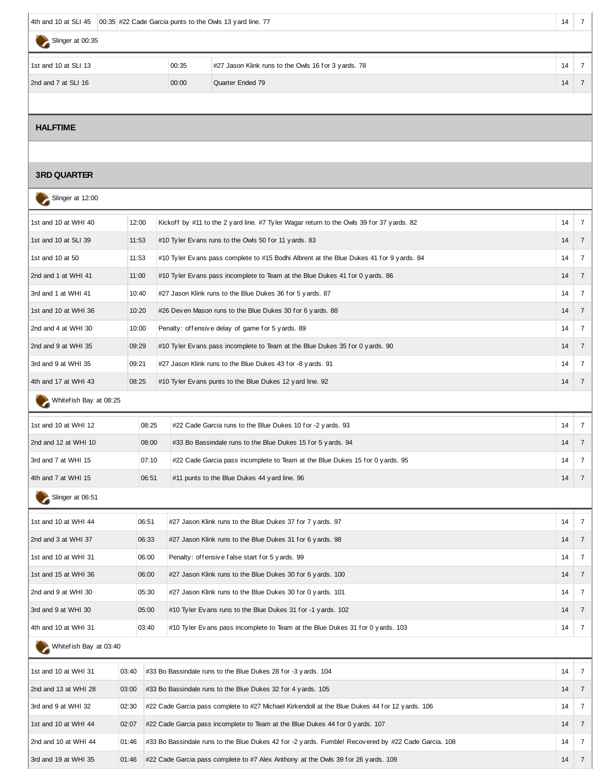|                      | 4th and 10 at SLI 45   00:35 #22 Cade Garcia punts to the Owls 13 yard line. 77<br>14 |                                                     |    |  |  |  |  |  |
|----------------------|---------------------------------------------------------------------------------------|-----------------------------------------------------|----|--|--|--|--|--|
| Slinger at 00:35     |                                                                                       |                                                     |    |  |  |  |  |  |
| 1st and 10 at SLI 13 | 00:35                                                                                 | #27 Jason Klink runs to the Owls 16 for 3 yards. 78 | 14 |  |  |  |  |  |
| 2nd and 7 at SLI 16  | 00:00                                                                                 | Quarter Ended 79                                    | 14 |  |  |  |  |  |
|                      |                                                                                       |                                                     |    |  |  |  |  |  |

#### **HALFTIME**

#### **3RD QUARTER**

| Slinger at 12:00        |       |       |                                                                                                     |    |                 |
|-------------------------|-------|-------|-----------------------------------------------------------------------------------------------------|----|-----------------|
| 1st and 10 at WHI 40    | 12:00 |       | Kickoff by #11 to the 2 y ard line. #7 Tyler Wagar return to the Owls 39 for 37 y ards. 82          | 14 | $\overline{7}$  |
| 1st and 10 at SLI 39    | 11:53 |       | #10 Tyler Evans runs to the Owls 50 for 11 yards. 83                                                | 14 | $\overline{7}$  |
| 1st and 10 at 50        | 11:53 |       | #10 Tyler Evans pass complete to #15 Bodhi Albrent at the Blue Dukes 41 for 9 yards. 84             | 14 | 7               |
| 2nd and 1 at WHI 41     | 11:00 |       | #10 Tyler Evans pass incomplete to Team at the Blue Dukes 41 for 0 yards. 86                        | 14 | $\overline{7}$  |
| 3rd and 1 at WHI 41     | 10:40 |       | #27 Jason Klink runs to the Blue Dukes 36 for 5 yards. 87                                           | 14 | $\overline{7}$  |
| 1st and 10 at WHI 36    | 10:20 |       | #26 Deven Mason runs to the Blue Dukes 30 for 6 yards. 88<br>14                                     |    |                 |
| 2nd and 4 at WHI 30     | 10:00 |       | Penalty: offensive delay of game for 5 yards. 89                                                    |    |                 |
| 2nd and 9 at WHI 35     | 09:29 |       | #10 Tyler Evans pass incomplete to Team at the Blue Dukes 35 for 0 yards. 90                        | 14 | $\overline{7}$  |
| 3rd and 9 at WHI 35     | 09:21 |       | #27 Jason Klink runs to the Blue Dukes 43 for -8 yards. 91                                          | 14 | 7               |
| 4th and 17 at WHI 43    | 08:25 |       | #10 Tyler Evans punts to the Blue Dukes 12 yard line. 92                                            | 14 | $\overline{7}$  |
| Whitefish Bay at 08:25  |       |       |                                                                                                     |    |                 |
| 1st and 10 at WHI 12    |       | 08:25 | #22 Cade Garcia runs to the Blue Dukes 10 for -2 yards. 93                                          | 14 | $\overline{7}$  |
| 2nd and 12 at WHI 10    |       | 08:00 | #33 Bo Bassindale runs to the Blue Dukes 15 for 5 yards. 94                                         | 14 | $\overline{7}$  |
| 3rd and 7 at WHI 15     |       | 07:10 | #22 Cade Garcia pass incomplete to Team at the Blue Dukes 15 for 0 y ards. 95                       | 14 | 7               |
| 4th and 7 at WHI 15     |       | 06:51 | #11 punts to the Blue Dukes 44 yard line. 96                                                        | 14 | $\overline{7}$  |
| Slinger at 06:51        |       |       |                                                                                                     |    |                 |
| 1st and 10 at WHI 44    |       | 06:51 | #27 Jason Klink runs to the Blue Dukes 37 for 7 yards. 97                                           | 14 | $7\overline{ }$ |
| 2nd and 3 at WHI 37     |       | 06:33 | #27 Jason Klink runs to the Blue Dukes 31 for 6 yards. 98                                           | 14 | $\overline{7}$  |
| 1st and 10 at WHI 31    |       | 06:00 | Penalty: offensive false start for 5 yards. 99                                                      | 14 | $\overline{7}$  |
| 1st and 15 at WHI 36    |       | 06:00 | #27 Jason Klink runs to the Blue Dukes 30 for 6 yards. 100                                          | 14 | $\overline{7}$  |
| 2nd and 9 at WHI 30     |       | 05:30 | #27 Jason Klink runs to the Blue Dukes 30 for 0 yards. 101                                          | 14 | $\overline{7}$  |
| 3rd and 9 at WHI 30     |       | 05:00 | #10 Tyler Evans runs to the Blue Dukes 31 for -1 yards. 102                                         | 14 | $\overline{7}$  |
| 4th and 10 at WHI 31    | 03:40 |       | #10 Tyler Evans pass incomplete to Team at the Blue Dukes 31 for 0 yards. 103                       | 14 | $\overline{7}$  |
| Whitef ish Bay at 03:40 |       |       |                                                                                                     |    |                 |
| 1st and 10 at WHI 31    | 03:40 |       | #33 Bo Bassindale runs to the Blue Dukes 28 for -3 yards. 104                                       | 14 | $\overline{7}$  |
| 2nd and 13 at WHI 28    | 03:00 |       | #33 Bo Bassindale runs to the Blue Dukes 32 for 4 yards. 105                                        | 14 | $\overline{7}$  |
| 3rd and 9 at WHI 32     | 02:30 |       | #22 Cade Garcia pass complete to #27 Michael Kirkendoll at the Blue Dukes 44 for 12 yards. 106      | 14 | $\overline{7}$  |
| 1st and 10 at WHI 44    | 02:07 |       | #22 Cade Garcia pass incomplete to Team at the Blue Dukes 44 for 0 yards. 107                       | 14 | $\overline{7}$  |
| 2nd and 10 at WHI 44    | 01:46 |       | #33 Bo Bassindale runs to the Blue Dukes 42 for -2 yards. Fumble! Recovered by #22 Cade Garcia. 108 | 14 | $\overline{7}$  |

3rd and 19 at WHI 35 01:46 #22 Cade Garcia pass complete to #7 Alex Anthony at the Owls 39 for 26 yards. 109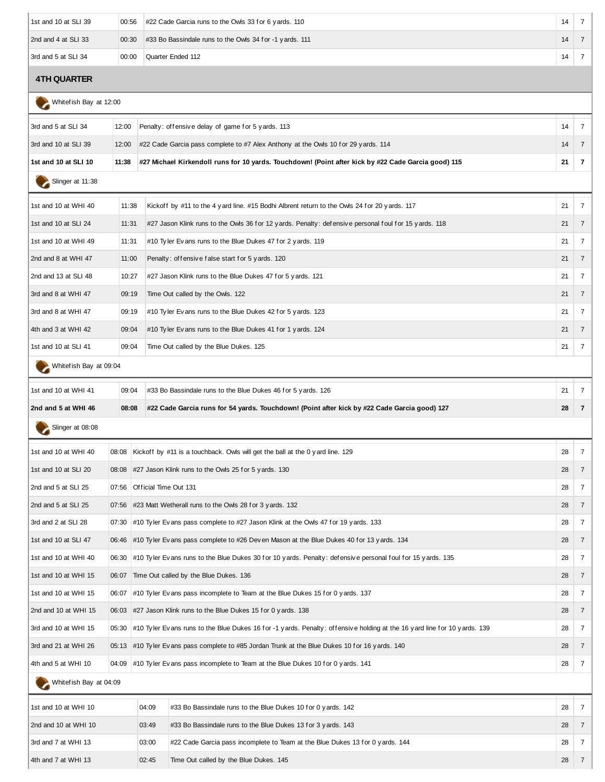| 1st and 10 at SLI 39 | 00:56 | #22 Cade Garcia runs to the Owls 33 for 6 yards. 110    | 14 |  |
|----------------------|-------|---------------------------------------------------------|----|--|
| 2nd and 4 at SLI 33  | 00:30 | #33 Bo Bassindale runs to the Owls 34 for -1 yards. 111 | 14 |  |
| 3rd and 5 at SLI 34  | 00:00 | Ouarter Ended 112                                       | 14 |  |

#### **4TH QUARTER**

Whitef ish Bay at 12:00

| 3rd and 5 at SLI 34     | 12:00 |                                                                                                | Penalty: offensive delay of game for 5 yards. 113                                                                        | 14 | $7\overline{ }$ |  |
|-------------------------|-------|------------------------------------------------------------------------------------------------|--------------------------------------------------------------------------------------------------------------------------|----|-----------------|--|
| 3rd and 10 at SLI 39    | 12:00 |                                                                                                | #22 Cade Garcia pass complete to #7 Alex Anthony at the Owls 10 for 29 yards. 114                                        | 14 | $\overline{7}$  |  |
| 1st and 10 at SLI 10    | 11:38 |                                                                                                | 215 (13 michael Kirkendoll runs for 10 yards. Touchdown! (Point after kick by #22 Cade Garcia good)#                     | 21 | $\overline{7}$  |  |
| Slinger at 11:38        |       |                                                                                                |                                                                                                                          |    |                 |  |
| 1st and 10 at WHI 40    | 11:38 |                                                                                                | Kickoff by #11 to the 4 yard line. #15 Bodhi Albrent return to the Owls 24 for 20 yards. 117                             | 21 | $\overline{7}$  |  |
| 1st and 10 at SLI 24    | 11:31 |                                                                                                | #27 Jason Klink runs to the Owls 36 for 12 yards. Penalty: defensive personal foul for 15 yards. 118                     | 21 | $\overline{7}$  |  |
| 1st and 10 at WHI 49    | 11:31 |                                                                                                | #10 Tyler Evans runs to the Blue Dukes 47 for 2 yards. 119                                                               |    | 7               |  |
| 2nd and 8 at WHI 47     | 11:00 |                                                                                                | Penalty: offensive false start for 5 yards. 120                                                                          |    |                 |  |
| 2nd and 13 at SLI 48    | 10:27 |                                                                                                | #27 Jason Klink runs to the Blue Dukes 47 for 5 y ards. 121                                                              | 21 | 7               |  |
| 3rd and 8 at WHI 47     | 09:19 |                                                                                                | Time Out called by the Owls. 122                                                                                         | 21 | $\overline{7}$  |  |
| 3rd and 8 at WHI 47     | 09:19 |                                                                                                | #10 Tyler Evans runs to the Blue Dukes 42 for 5 yards. 123                                                               |    | 7               |  |
| 4th and 3 at WHI 42     | 09:04 |                                                                                                | #10 Tyler Evans runs to the Blue Dukes 41 for 1 yards. 124                                                               | 21 | 7               |  |
| 1st and 10 at SLI 41    | 09:04 |                                                                                                | Time Out called by the Blue Dukes. 125                                                                                   | 21 | $\overline{7}$  |  |
| Whitef ish Bay at 09:04 |       |                                                                                                |                                                                                                                          |    |                 |  |
| 1st and 10 at WHI 41    | 09:04 |                                                                                                | #33 Bo Bassindale runs to the Blue Dukes 46 for 5 y ards. 126                                                            | 21 | $\overline{7}$  |  |
| 2nd and 5 at WHI 46     | 08:08 |                                                                                                | #22 Cade Garcia runs for 54 yards. Touchdown! (Point after kick by #22 Cade Garcia good) 127                             | 28 | $\overline{7}$  |  |
| Slinger at 08:08        |       |                                                                                                |                                                                                                                          |    |                 |  |
| 1st and 10 at WHI 40    | 08:08 |                                                                                                | Kickoff by #11 is a touchback. Owls will get the ball at the 0 y ard line. 129                                           | 28 | $\overline{7}$  |  |
| 1st and 10 at SLI 20    | 08:08 |                                                                                                | #27 Jason Klink runs to the Owls 25 for 5 yards. 130                                                                     | 28 | $\overline{7}$  |  |
| 2nd and 5 at SLI 25     | 07:56 | Official Time Out 131                                                                          |                                                                                                                          |    |                 |  |
| 2nd and 5 at SLI 25     |       | 07:56 #23 Matt Wetherall runs to the Owls 28 for 3 y ards. 132                                 |                                                                                                                          |    |                 |  |
| 3rd and 2 at SLI 28     | 07:30 |                                                                                                | $\#10$ Tyler Evans pass complete to $\#27$ Jason Klink at the Owls 47 for 19 yards. 133                                  | 28 | $\overline{7}$  |  |
| 1st and 10 at SLI 47    |       | 06:46 #10 Tyler Evans pass complete to #26 Deven Mason at the Blue Dukes 40 for 13 yards. 134  |                                                                                                                          |    |                 |  |
| 1st and 10 at WHI 40    | 06:30 |                                                                                                | #10 Tyler Evans runs to the Blue Dukes 30 for 10 yards. Penalty: defensive personal foul for 15 yards. 135               | 28 | $\overline{7}$  |  |
| 1st and 10 at WHI 15    |       |                                                                                                | 06:07 Time Out called by the Blue Dukes. 136                                                                             | 28 | $\overline{7}$  |  |
| 1st and 10 at WHI 15    | 06:07 | $\#10$ Tyler Evans pass incomplete to Team at the Blue Dukes 15 for 0 yards. 137               |                                                                                                                          |    |                 |  |
| 2nd and 10 at WHI 15    |       |                                                                                                | 06:03 #27 Jason Klink runs to the Blue Dukes 15 for 0 y ards. 138                                                        | 28 | $\overline{7}$  |  |
| 3rd and 10 at WHI 15    | 05:30 |                                                                                                | #10 Tyler Evans runs to the Blue Dukes 16 for -1 yards. Penalty: offensive holding at the 16 yard line for 10 yards. 139 | 28 | $\overline{7}$  |  |
| 3rd and 21 at WHI 26    |       | 05:13 #10 Tyler Evans pass complete to #85 Jordan Trunk at the Blue Dukes 10 for 16 yards. 140 |                                                                                                                          |    |                 |  |
| 4th and 5 at WHI 10     | 04:09 | $\#10$ Tyler Evans pass incomplete to Team at the Blue Dukes 10 for 0 yards. 141               |                                                                                                                          |    |                 |  |
| Whitef ish Bay at 04:09 |       |                                                                                                |                                                                                                                          |    |                 |  |
| 1st and 10 at WHI 10    |       | 04:09                                                                                          | #33 Bo Bassindale runs to the Blue Dukes 10 for 0 yards. 142                                                             | 28 | $7^{\circ}$     |  |
|                         |       |                                                                                                |                                                                                                                          |    |                 |  |

|                      | .     |                                                                                  | -- |  |
|----------------------|-------|----------------------------------------------------------------------------------|----|--|
| 2nd and 10 at WHI 10 | 03:49 | #33 Bo Bassindale runs to the Blue Dukes 13 for 3 yards. 143                     | 28 |  |
| 3rd and 7 at WHI 13  | 03:00 | $\#22$ Cade Garcia pass incomplete to Team at the Blue Dukes 13 for 0 yards. 144 | 28 |  |
| 4th and 7 at WHI 13  | 02:45 | Time Out called by the Blue Dukes. 145                                           | 28 |  |